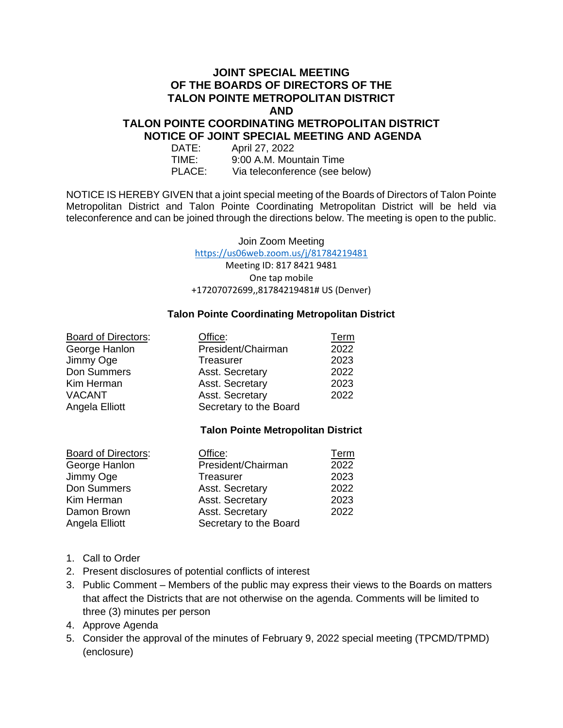## **JOINT SPECIAL MEETING OF THE BOARDS OF DIRECTORS OF THE TALON POINTE METROPOLITAN DISTRICT AND**

## **TALON POINTE COORDINATING METROPOLITAN DISTRICT NOTICE OF JOINT SPECIAL MEETING AND AGENDA**

| DATE:  | April 27, 2022                 |
|--------|--------------------------------|
| TIME:  | 9:00 A.M. Mountain Time        |
| PLACE: | Via teleconference (see below) |

NOTICE IS HEREBY GIVEN that a joint special meeting of the Boards of Directors of Talon Pointe Metropolitan District and Talon Pointe Coordinating Metropolitan District will be held via teleconference and can be joined through the directions below. The meeting is open to the public.

Join Zoom Meeting

<https://us06web.zoom.us/j/81784219481>

Meeting ID: 817 8421 9481 One tap mobile +17207072699,,81784219481# US (Denver)

#### **Talon Pointe Coordinating Metropolitan District**

| <b>Board of Directors:</b> | Office:                | Term |
|----------------------------|------------------------|------|
| George Hanlon              | President/Chairman     | 2022 |
| Jimmy Oge                  | Treasurer              | 2023 |
| Don Summers                | Asst. Secretary        | 2022 |
| Kim Herman                 | Asst. Secretary        | 2023 |
| <b>VACANT</b>              | Asst. Secretary        | 2022 |
| Angela Elliott             | Secretary to the Board |      |

### **Talon Pointe Metropolitan District**

| <b>Board of Directors:</b> | Office:                | Term |
|----------------------------|------------------------|------|
| George Hanlon              | President/Chairman     | 2022 |
| Jimmy Oge                  | Treasurer              | 2023 |
| Don Summers                | Asst. Secretary        | 2022 |
| Kim Herman                 | Asst. Secretary        | 2023 |
| Damon Brown                | Asst. Secretary        | 2022 |
| Angela Elliott             | Secretary to the Board |      |

- 1. Call to Order
- 2. Present disclosures of potential conflicts of interest
- 3. Public Comment Members of the public may express their views to the Boards on matters that affect the Districts that are not otherwise on the agenda. Comments will be limited to three (3) minutes per person
- 4. Approve Agenda
- 5. Consider the approval of the minutes of February 9, 2022 special meeting (TPCMD/TPMD) (enclosure)